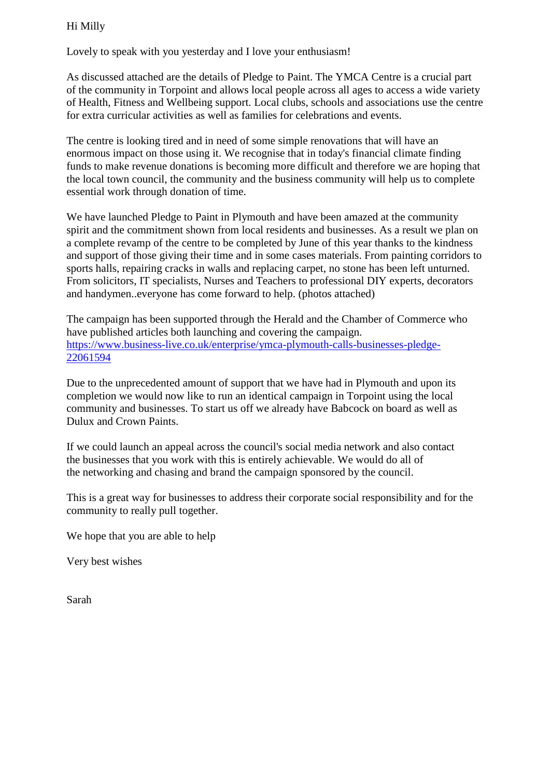## Hi Milly

Lovely to speak with you yesterday and I love your enthusiasm!

As discussed attached are the details of Pledge to Paint. The YMCA Centre is a crucial part of the community in Torpoint and allows local people across all ages to access a wide variety of Health, Fitness and Wellbeing support. Local clubs, schools and associations use the centre for extra curricular activities as well as families for celebrations and events.

The centre is looking tired and in need of some simple renovations that will have an enormous impact on those using it. We recognise that in today's financial climate finding funds to make revenue donations is becoming more difficult and therefore we are hoping that the local town council, the community and the business community will help us to complete essential work through donation of time.

We have launched Pledge to Paint in Plymouth and have been amazed at the community spirit and the commitment shown from local residents and businesses. As a result we plan on a complete revamp of the centre to be completed by June of this year thanks to the kindness and support of those giving their time and in some cases materials. From painting corridors to sports halls, repairing cracks in walls and replacing carpet, no stone has been left unturned. From solicitors, IT specialists, Nurses and Teachers to professional DIY experts, decorators and handymen..everyone has come forward to help. (photos attached)

The campaign has been supported through the Herald and the Chamber of Commerce who have published articles both launching and covering the campaign. [https://www.business-live.co.uk/enterprise/ymca-plymouth-calls-businesses-pledge-](https://www.business-live.co.uk/enterprise/ymca-plymouth-calls-businesses-pledge-22061594)[22061594](https://www.business-live.co.uk/enterprise/ymca-plymouth-calls-businesses-pledge-22061594)

Due to the unprecedented amount of support that we have had in Plymouth and upon its completion we would now like to run an identical campaign in Torpoint using the local community and businesses. To start us off we already have Babcock on board as well as Dulux and Crown Paints.

If we could launch an appeal across the council's social media network and also contact the businesses that you work with this is entirely achievable. We would do all of the networking and chasing and brand the campaign sponsored by the council.

This is a great way for businesses to address their corporate social responsibility and for the community to really pull together.

We hope that you are able to help

Very best wishes

Sarah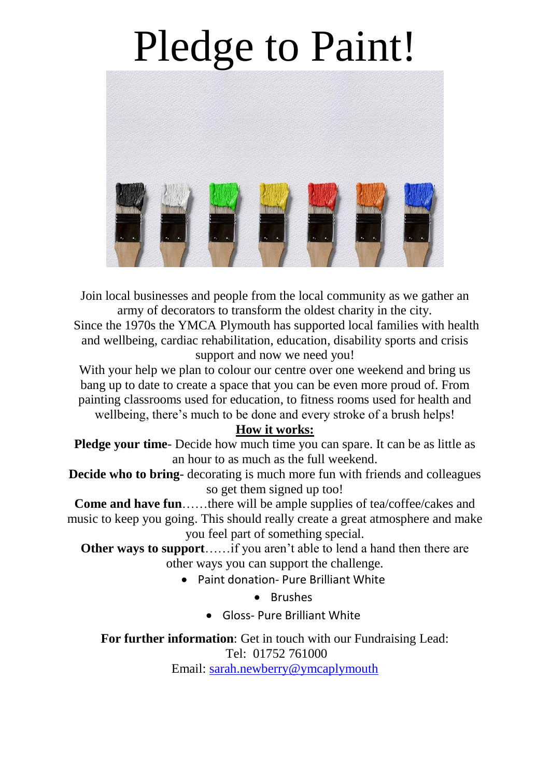## Pledge to Paint!



Join local businesses and people from the local community as we gather an army of decorators to transform the oldest charity in the city.

Since the 1970s the YMCA Plymouth has supported local families with health and wellbeing, cardiac rehabilitation, education, disability sports and crisis support and now we need you!

With your help we plan to colour our centre over one weekend and bring us bang up to date to create a space that you can be even more proud of. From painting classrooms used for education, to fitness rooms used for health and wellbeing, there's much to be done and every stroke of a brush helps!

## **How it works:**

**Pledge your time**- Decide how much time you can spare. It can be as little as an hour to as much as the full weekend.

**Decide who to bring**- decorating is much more fun with friends and colleagues so get them signed up too!

**Come and have fun**……there will be ample supplies of tea/coffee/cakes and music to keep you going. This should really create a great atmosphere and make you feel part of something special.

**Other ways to support**……if you aren't able to lend a hand then there are other ways you can support the challenge.

- Paint donation- Pure Brilliant White
	- **•** Brushes
	- Gloss- Pure Brilliant White

**For further information**: Get in touch with our Fundraising Lead: Tel: 01752 761000 Email: [sarah.newberry@ymcaplymouth](mailto:sarah.newberry@ymcaplymouth)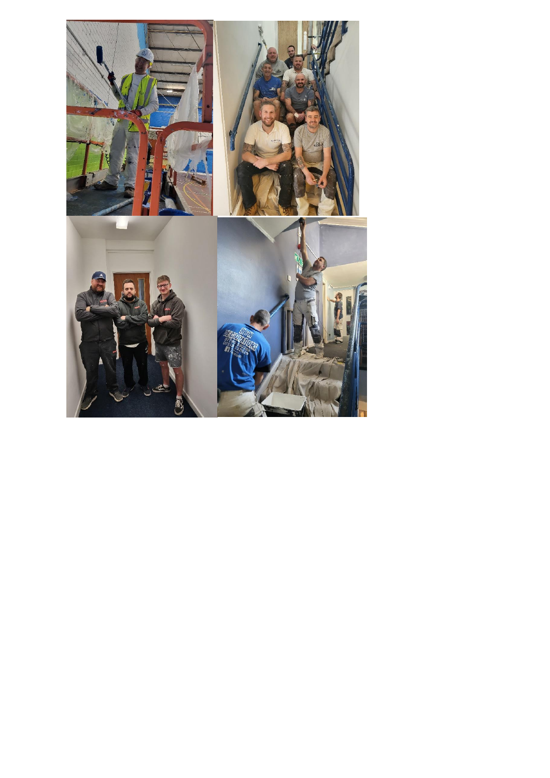